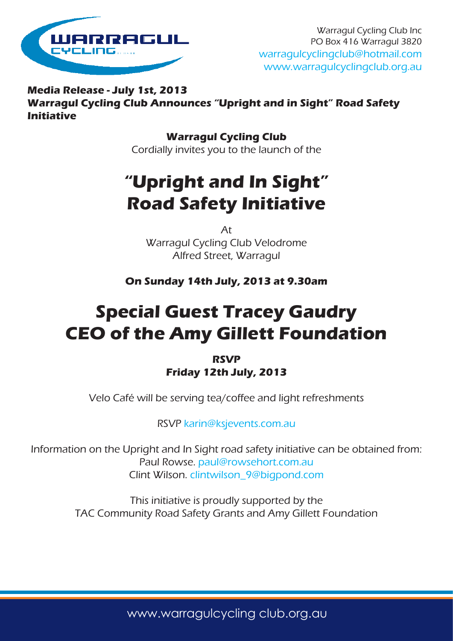

Warragul Cycling Club Inc PO Box 416 Warragul 3820 warragulcyclingclub@hotmail.com www.warragulcyclingclub.org.au

### **Media Release - July 1st, 2013 Warragul Cycling Club Announces "Upright and in Sight" Road Safety Initiative**

### **Warragul Cycling Club**

Cordially invites you to the launch of the

# **"Upright and In Sight" Road Safety Initiative**

At Warragul Cycling Club Velodrome Alfred Street, Warragul

### **On Sunday 14th July, 2013 at 9.30am**

## **Special Guest Tracey Gaudry CEO of the Amy Gillett Foundation**

### **RSVP Friday 12th July, 2013**

Velo Café will be serving tea/coffee and light refreshments

RSVP karin@ksjevents.com.au

Information on the Upright and In Sight road safety initiative can be obtained from: Paul Rowse. paul@rowsehort.com.au Clint Wilson. clintwilson\_9@bigpond.com

> This initiative is proudly supported by the TAC Community Road Safety Grants and Amy Gillett Foundation

> > www.warragulcycling club.org.au